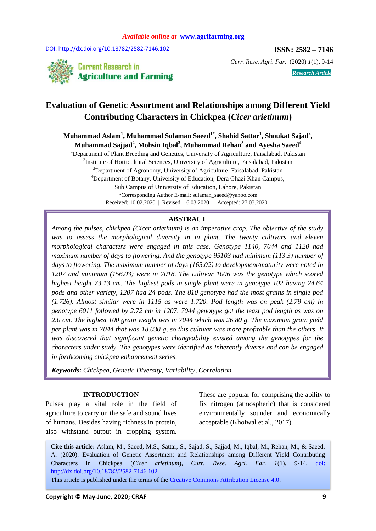DOI: http://dx.doi.org/10.18782/2582-7146.102 **ISSN: 2582 – 7146** 



*Curr. Rese. Agri. Far.* (2020) *1*(1), 9-14 *Research Article*

# **Evaluation of Genetic Assortment and Relationships among Different Yield Contributing Characters in Chickpea (***Cicer arietinum***)**

**Muhammad Aslam<sup>1</sup> , Muhammad Sulaman Saeed1\*, Shahid Sattar<sup>1</sup> , Shoukat Sajad<sup>2</sup> , Muhammad Sajjad<sup>2</sup> , Mohsin Iqbal<sup>2</sup> , Muhammad Rehan<sup>3</sup> and Ayesha Saeed<sup>4</sup>**

<sup>1</sup>Department of Plant Breeding and Genetics, University of Agriculture, Faisalabad, Pakistan <sup>2</sup>Institute of Horticultural Sciences, University of Agriculture, Faisalabad, Pakistan <sup>3</sup>Department of Agronomy, University of Agriculture, Faisalabad, Pakistan <sup>4</sup>Department of Botany, University of Education, Dera Ghazi Khan Campus, Sub Campus of University of Education, Lahore, Pakistan \*Corresponding Author E-mail: sulaman\_saeed@yahoo.com Received: 10.02.2020 | Revised: 16.03.2020 | Accepted: 27.03.2020

## **ABSTRACT**

*Among the pulses, chickpea (Cicer arietinum) is an imperative crop. The objective of the study*  was to assess the morphological diversity in in plant. The twenty cultivars and eleven *morphological characters were engaged in this case. Genotype 1140, 7044 and 1120 had maximum number of days to flowering. And the genotype 95103 had minimum (113.3) number of days to flowering. The maximum number of days (165.02) to development/maturity were noted in 1207 and minimum (156.03) were in 7018. The cultivar 1006 was the genotype which scored highest height 73.13 cm. The highest pods in single plant were in genotype 102 having 24.64 pods and other variety, 1207 had 24 pods. The 810 genotype had the most grains in single pod (1.726). Almost similar were in 1115 as were 1.720. Pod length was on peak (2.79 cm) in genotype 6011 followed by 2.72 cm in 1207. 7044 genotype got the least pod length as was on 2.0 cm. The highest 100 grain weight was in 7044 which was 26.80 g. The maximum grain yield per plant was in 7044 that was 18.030 g, so this cultivar was more profitable than the others. It was discovered that significant genetic changeability existed among the genotypes for the characters under study. The genotypes were identified as inherently diverse and can be engaged in forthcoming chickpea enhancement series.*

*Keywords: Chickpea, Genetic Diversity, Variability, Correlation*

#### **INTRODUCTION**

Pulses play a vital role in the field of agriculture to carry on the safe and sound lives of humans. Besides having richness in protein, also withstand output in cropping system.

These are popular for comprising the ability to fix nitrogen (atmospheric) that is considered environmentally sounder and economically acceptable (Khoiwal et al., 2017).

**Cite this article:** Aslam, M., Saeed, M.S., Sattar, S., Sajad, S., Sajjad, M., Iqbal, M., Rehan, M., & Saeed, A. (2020). Evaluation of Genetic Assortment and Relationships among Different Yield Contributing Characters in Chickpea (*Cicer arietinum*), *Curr. Rese. Agri. Far. 1*(1), 9-14. doi: http://dx.doi.org/10.18782/2582-7146.102

This article is published under the terms of the Creative [Commons Attribution License 4.0.](https://creativecommons.org/licenses/by/4.0/)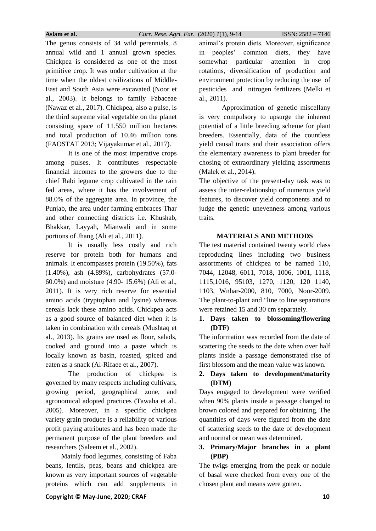**Aslam et al.** *Curr. Rese. Agri. Far.* (2020) *1*(1), 9-14 ISSN: 2582 – 7146

The genus consists of 34 wild perennials, 8 annual wild and 1 annual grown species. Chickpea is considered as one of the most primitive crop. It was under cultivation at the time when the oldest civilizations of Middle-East and South Asia were excavated (Noor et al., 2003). It belongs to family Fabaceae (Nawaz et al., 2017). Chickpea, also a pulse, is the third supreme vital vegetable on the planet consisting space of 11.550 million hectares and total production of 10.46 million tons (FAOSTAT 2013; Vijayakumar et al., 2017).

It is one of the most imperative crops among pulses. It contributes respectable financial incomes to the growers due to the chief Rabi legume crop cultivated in the rain fed areas, where it has the involvement of 88.0% of the aggregate area. In province, the Punjab, the area under farming embraces Thar and other connecting districts i.e. Khushab, Bhakkar, Layyah, Mianwali and in some portions of Jhang (Ali et al., 2011).

It is usually less costly and rich reserve for protein both for humans and animals. It encompasses protein (19.50%), fats (1.40%), ash (4.89%), carbohydrates (57.0- 60.0%) and moisture (4.90- 15.6%) (Ali et al., 2011). It is very rich reserve for essential amino acids (tryptophan and lysine) whereas cereals lack these amino acids. Chickpea acts as a good source of balanced diet when it is taken in combination with cereals (Mushtaq et al., 2013). Its grains are used as flour, salads, cooked and ground into a paste which is locally known as basin, roasted, spiced and eaten as a snack (Al-Rifaee et al., 2007).

The production of chickpea is governed by many respects including cultivars, growing period, geographical zone, and agronomical adopted practices (Tawaha et al., 2005). Moreover, in a specific chickpea variety grain produce is a reliability of various profit paying attributes and has been made the permanent purpose of the plant breeders and researchers (Saleem et al., 2002).

 Mainly food legumes, consisting of Faba beans, lentils, peas, beans and chickpea are known as very important sources of vegetable proteins which can add supplements in

Approximation of genetic miscellany is very compulsory to upsurge the inherent potential of a little breeding scheme for plant breeders. Essentially, data of the countless yield causal traits and their association offers the elementary awareness to plant breeder for chosing of extraordinary yielding assortments (Malek et al., 2014).

The objective of the present-day task was to assess the inter-relationship of numerous yield features, to discover yield components and to judge the genetic unevenness among various traits.

# **MATERIALS AND METHODS**

The test material contained twenty world class reproducing lines including two business assortments of chickpea to be named 110, 7044, 12048, 6011, 7018, 1006, 1001, 1118, 1115,1016, 95103, 1270, 1120, 120 1140, 1103, Wnhar-2000, 810, 7000, Noor-2009. The plant-to-plant and "line to line separations were retained 15 and 30 cm separately.

# **1. Days taken to blossoming/flowering (DTF)**

The information was recorded from the date of scattering the seeds to the date when over half plants inside a passage demonstrated rise of first blossom and the mean value was known.

# **2. Days taken to development/maturity (DTM)**

Days engaged to development were verified when 90% plants inside a passage changed to brown colored and prepared for obtaining. The quantities of days were figured from the date of scattering seeds to the date of development and normal or mean was determined.

# **3. Primary/Major branches in a plant (PBP)**

The twigs emerging from the peak or nodule of basal were checked from every one of the chosen plant and means were gotten.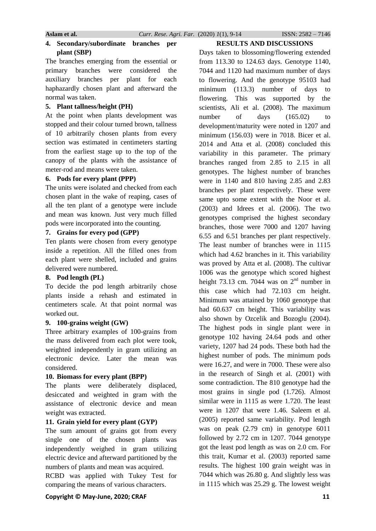## **4. Secondary/subordinate branches per plant (SBP)**

The branches emerging from the essential or primary branches were considered the auxiliary branches per plant for each haphazardly chosen plant and afterward the normal was taken.

#### **5. Plant tallness/height (PH)**

At the point when plants development was stopped and their colour turned brown, tallness of 10 arbitrarily chosen plants from every section was estimated in centimeters starting from the earliest stage up to the top of the canopy of the plants with the assistance of meter-rod and means were taken.

#### **6. Pods for every plant (PPP)**

The units were isolated and checked from each chosen plant in the wake of reaping, cases of all the ten plant of a genotype were include and mean was known. Just very much filled pods were incorporated into the counting.

# **7. Grains for every pod (GPP)**

Ten plants were chosen from every genotype inside a repetition. All the filled ones from each plant were shelled, included and grains delivered were numbered.

## **8. Pod length (PL)**

To decide the pod length arbitrarily chose plants inside a rehash and estimated in centimeters scale. At that point normal was worked out.

## **9. 100-grains weight (GW)**

Three arbitrary examples of 100-grains from the mass delivered from each plot were took, weighted independently in gram utilizing an electronic device. Later the mean was considered.

# **10. Biomass for every plant (BPP)**

The plants were deliberately displaced, desiccated and weighted in gram with the assistance of electronic device and mean weight was extracted.

# **11. Grain yield for every plant (GYP)**

The sum amount of grains got from every single one of the chosen plants was independently weighed in gram utilizing electric device and afterward partitioned by the numbers of plants and mean was acquired.

RCBD was applied with Tukey Test for comparing the means of various characters.

# **RESULTS AND DISCUSSIONS**

Days taken to blossoming/flowering extended from 113.30 to 124.63 days. Genotype 1140, 7044 and 1120 had maximum number of days to flowering. And the genotype 95103 had minimum (113.3) number of days to flowering. This was supported by the scientists, Ali et al. (2008). The maximum number of days  $(165.02)$  to development/maturity were noted in 1207 and minimum (156.03) were in 7018. Bicer et al. 2014 and Atta et al. (2008) concluded this variability in this parameter. The primary branches ranged from 2.85 to 2.15 in all genotypes. The highest number of branches were in 1140 and 810 having 2.85 and 2.83 branches per plant respectively. These were same upto some extent with the Noor et al. (2003) and Idrees et al. (2006). The two genotypes comprised the highest secondary branches, those were 7000 and 1207 having 6.55 and 6.51 branches per plant respectively. The least number of branches were in 1115 which had 4.62 branches in it. This variability was proved by Atta et al. (2008). The cultivar 1006 was the genotype which scored highest height 73.13 cm. 7044 was on  $2<sup>nd</sup>$  number in this case which had 72.103 cm height. Minimum was attained by 1060 genotype that had 60.637 cm height. This variability was also shown by Ozcelik and Bozoglu (2004). The highest pods in single plant were in genotype 102 having 24.64 pods and other variety, 1207 had 24 pods. These both had the highest number of pods. The minimum pods were 16.27, and were in 7000. These were also in the research of Singh et al. (2001) with some contradiction. The 810 genotype had the most grains in single pod (1.726). Almost similar were in 1115 as were 1.720. The least were in 1207 that were 1.46. Saleem et al. (2005) reported same variability. Pod length was on peak (2.79 cm) in genotype 6011 followed by 2.72 cm in 1207. 7044 genotype got the least pod length as was on 2.0 cm. For this trait, Kumar et al. (2003) reported same results. The highest 100 grain weight was in 7044 which was 26.80 g. And slightly less was in 1115 which was 25.29 g. The lowest weight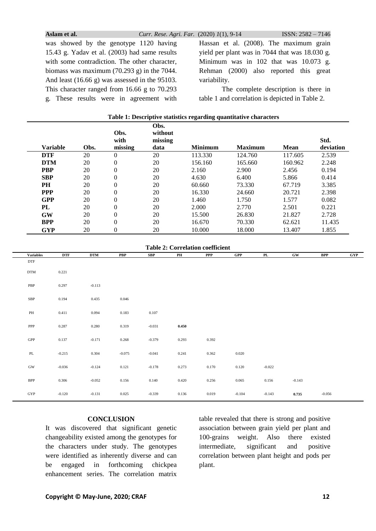**Aslam et al.** *Curr. Rese. Agri. Far.* (2020) *1*(1), 9-14 ISSN: 2582 – 7146

was showed by the genotype 1120 having 15.43 g. Yadav et al. (2003) had same results with some contradiction. The other character, biomass was maximum (70.293 g) in the 7044. And least (16.66 g) was assessed in the 95103. This character ranged from 16.66 g to 70.293 g. These results were in agreement with Hassan et al. (2008). The maximum grain yield per plant was in 7044 that was 18.030 g. Minimum was in 102 that was 10.073 g. Rehman (2000) also reported this great variability.

The complete description is there in table 1 and correlation is depicted in Table 2.

|                 |      | Obs.<br>with   | Obs.<br>without<br>missing |                |                |             | Std.      |
|-----------------|------|----------------|----------------------------|----------------|----------------|-------------|-----------|
| <b>Variable</b> | Obs. | missing        | data                       | <b>Minimum</b> | <b>Maximum</b> | <b>Mean</b> | deviation |
| <b>DTF</b>      | 20   | $\Omega$       | 20                         | 113.330        | 124.760        | 117.605     | 2.539     |
| <b>DTM</b>      | 20   | $\theta$       | 20                         | 156.160        | 165.660        | 160.962     | 2.248     |
| <b>PBP</b>      | 20   | $\overline{0}$ | 20                         | 2.160          | 2.900          | 2.456       | 0.194     |
| <b>SBP</b>      | 20   | $\theta$       | 20                         | 4.630          | 6.400          | 5.866       | 0.414     |
| <b>PH</b>       | 20   | $\theta$       | 20                         | 60.660         | 73.330         | 67.719      | 3.385     |
| <b>PPP</b>      | 20   | $\overline{0}$ | 20                         | 16.330         | 24.660         | 20.721      | 2.398     |
| <b>GPP</b>      | 20   | $\Omega$       | 20                         | 1.460          | 1.750          | 1.577       | 0.082     |
| PL              | 20   | $\theta$       | 20                         | 2.000          | 2.770          | 2.501       | 0.221     |
| GW              | 20   | $\theta$       | 20                         | 15.500         | 26.830         | 21.827      | 2.728     |
| <b>BPP</b>      | 20   | $\theta$       | 20                         | 16.670         | 70.330         | 62.621      | 11.435    |
| <b>GYP</b>      | 20   | $\Omega$       | 20                         | 10.000         | 18.000         | 13.407      | 1.855     |

#### **Table 1: Descriptive statistics regarding quantitative characters**

**Table 2: Correlation coefficient**

| <b>Variables</b>                | <b>DTF</b> | <b>DTM</b> | <b>PBP</b> | SBP      | PH    | PPP   | GPP      | PL       | GW       | <b>BPP</b> | GYP |
|---------------------------------|------------|------------|------------|----------|-------|-------|----------|----------|----------|------------|-----|
| <b>DTF</b>                      |            |            |            |          |       |       |          |          |          |            |     |
| <b>DTM</b>                      | 0.221      |            |            |          |       |       |          |          |          |            |     |
| PBP                             | 0.297      | $-0.113$   |            |          |       |       |          |          |          |            |     |
| ${\rm SBP}$                     | 0.194      | 0.435      | 0.046      |          |       |       |          |          |          |            |     |
| $\rm PH$                        | 0.411      | 0.094      | 0.183      | 0.107    |       |       |          |          |          |            |     |
| ${\sf PPP}$                     | 0.287      | 0.280      | 0.319      | $-0.031$ | 0.450 |       |          |          |          |            |     |
| GPP                             | 0.137      | $-0.171$   | 0.268      | $-0.379$ | 0.293 | 0.392 |          |          |          |            |     |
| $\ensuremath{\text{PL}}\xspace$ | $-0.215$   | 0.304      | $-0.075$   | $-0.041$ | 0.241 | 0.362 | 0.020    |          |          |            |     |
| $\rm GW$                        | $-0.036$   | $-0.124$   | 0.121      | $-0.178$ | 0.273 | 0.170 | 0.120    | $-0.022$ |          |            |     |
| $\ensuremath{\mathsf{BPP}}$     | 0.306      | $-0.052$   | 0.156      | 0.140    | 0.420 | 0.256 | 0.065    | 0.156    | $-0.143$ |            |     |
| GYP                             | $-0.120$   | $-0.131$   | 0.025      | $-0.339$ | 0.136 | 0.019 | $-0.104$ | $-0.143$ | 0.735    | $-0.056$   |     |

## **CONCLUSION**

It was discovered that significant genetic changeability existed among the genotypes for the characters under study. The genotypes were identified as inherently diverse and can be engaged in forthcoming chickpea enhancement series. The correlation matrix

table revealed that there is strong and positive association between grain yield per plant and 100-grains weight. Also there existed intermediate, significant and positive correlation between plant height and pods per plant.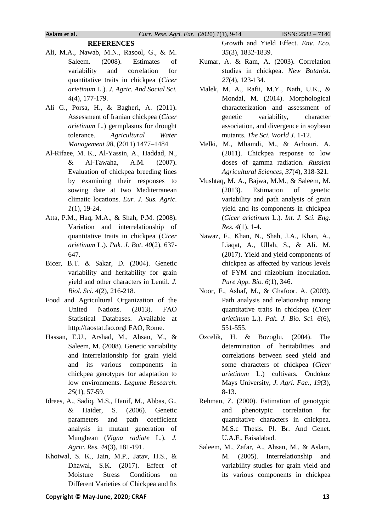# **REFERENCES**

- Ali, M.A., Nawab, M.N., Rasool, G., & M. Saleem. (2008). Estimates of variability and correlation for quantitative traits in chickpea (*Cicer arietinum* L.). *J. Agric. And Social Sci. 4*(4), 177-179.
- Ali G., Porsa, H., & Bagheri, A. (2011). Assessment of Iranian chickpea (*Cicer arietinum* L.) germplasms for drought tolerance. *Agricultural Water Management 98*, (2011) 1477–1484
- Al-Rifaee, M. K., Al-Yassin, A., Haddad, N., & Al-Tawaha, A.M. (2007). Evaluation of chickpea breeding lines by examining their responses to sowing date at two Mediterranean climatic locations. *Eur. J. Sus. Agric*. *1*(1), 19-24.
- Atta, P.M., Haq, M.A., & Shah, P.M. (2008). Variation and interrelationship of quantitative traits in chickpea (*Cicer arietinum* L.). *Pak. J. Bot*. *40*(2), 637- 647.
- Bicer, B.T. & Sakar, D. (2004). Genetic variability and heritability for grain yield and other characters in Lentil. *J. Biol. Sci. 4*(2), 216-218.
- Food and Agricultural Organization of the United Nations. (2013). FAO Statistical Databases. Available at http://faostat.fao.orgl FAO, Rome.
- Hassan, E.U., Arshad, M., Ahsan, M., & Saleem, M. (2008). Genetic variability and interrelationship for grain yield and its various components in chickpea genotypes for adaptation to low environments. *Legume Research*. *25*(1), 57-59.
- Idrees, A., Sadiq, M.S., Hanif, M., Abbas, G., & Haider, S. (2006). Genetic parameters and path coefficient analysis in mutant generation of Mungbean (*Vigna radiate* L.). *J. Agric. Res. 44*(3), 181-191.
- Khoiwal, S. K., Jain, M.P., Jatav, H.S., & Dhawal, S.K. (2017). Effect of Moisture Stress Conditions on Different Varieties of Chickpea and Its

Growth and Yield Effect. *Env. Eco. 35*(3), 1832-1839.

- Kumar, A. & Ram, A. (2003). Correlation studies in chickpea. *New Botanist. 27*(4), 123-134.
- Malek, M. A., Rafii, M.Y., Nath, U.K., & Mondal, M. (2014). Morphological characterization and assessment of genetic variability, character association, and divergence in soybean mutants. *The Sci. World J.* 1-12.
- Melki, M., Mhamdi, M., & Achouri. A. (2011). Chickpea response to low doses of gamma radiation. *Russian Agricultural Sciences*, *37*(4), 318-321.
- Mushtaq, M. A., Bajwa, M.M., & Saleem, M. (2013). Estimation of genetic variability and path analysis of grain yield and its components in chickpea (*Cicer arietinum* L.). *Int. J. Sci. Eng. Res. 4*(1), 1-4.
- Nawaz, F., Khan, N., Shah, J.A., Khan, A., Liaqat, A., Ullah, S., & Ali. M. (2017). Yield and yield components of chickpea as affected by various levels of FYM and rhizobium inoculation. *Pure App. Bio. 6*(1), 346.
- Noor, F., Ashaf, M., & Ghafoor. A. (2003). Path analysis and relationship among quantitative traits in chickpea (*Cicer arietinum* L.). *Pak. J. Bio. Sci. 6*(6), 551-555.
- Ozcelik, H. & Bozoglu. (2004). The determination of heritabilities and correlations between seed yield and some characters of chickpea (*Cicer arietinum* L.) cultivars. Ondokuz Mays University, *J. Agri. Fac., 19*(3), 8-13.
- Rehman, Z. (2000). Estimation of genotypic and phenotypic correlation for quantitative characters in chickpea. M.S.c Thesis. Pl. Br. And Genet. U.A.F., Faisalabad.
- Saleem, M., Zafar, A., Ahsan, M., & Aslam, M. (2005). Interrelationship and variability studies for grain yield and its various components in chickpea